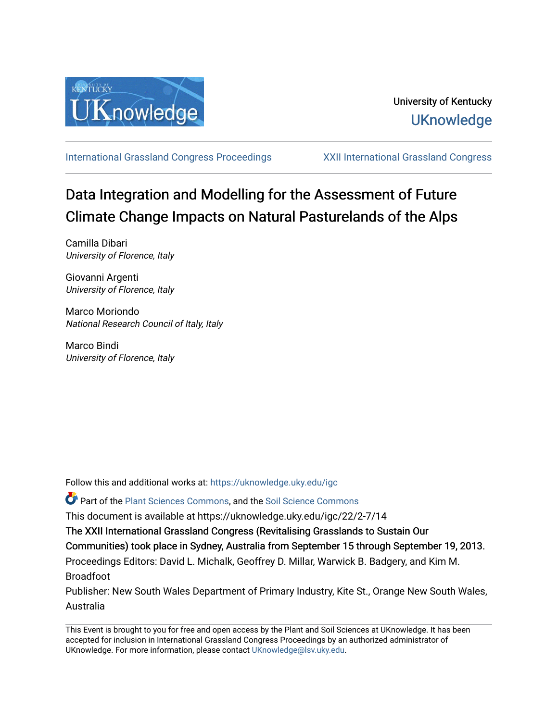

[International Grassland Congress Proceedings](https://uknowledge.uky.edu/igc) [XXII International Grassland Congress](https://uknowledge.uky.edu/igc/22) 

# Data Integration and Modelling for the Assessment of Future Climate Change Impacts on Natural Pasturelands of the Alps

Camilla Dibari University of Florence, Italy

Giovanni Argenti University of Florence, Italy

Marco Moriondo National Research Council of Italy, Italy

Marco Bindi University of Florence, Italy

Follow this and additional works at: [https://uknowledge.uky.edu/igc](https://uknowledge.uky.edu/igc?utm_source=uknowledge.uky.edu%2Figc%2F22%2F2-7%2F14&utm_medium=PDF&utm_campaign=PDFCoverPages) 

**P** Part of the [Plant Sciences Commons](http://network.bepress.com/hgg/discipline/102?utm_source=uknowledge.uky.edu%2Figc%2F22%2F2-7%2F14&utm_medium=PDF&utm_campaign=PDFCoverPages), and the Soil Science Commons

This document is available at https://uknowledge.uky.edu/igc/22/2-7/14

The XXII International Grassland Congress (Revitalising Grasslands to Sustain Our

Communities) took place in Sydney, Australia from September 15 through September 19, 2013.

Proceedings Editors: David L. Michalk, Geoffrey D. Millar, Warwick B. Badgery, and Kim M. Broadfoot

Publisher: New South Wales Department of Primary Industry, Kite St., Orange New South Wales, Australia

This Event is brought to you for free and open access by the Plant and Soil Sciences at UKnowledge. It has been accepted for inclusion in International Grassland Congress Proceedings by an authorized administrator of UKnowledge. For more information, please contact [UKnowledge@lsv.uky.edu](mailto:UKnowledge@lsv.uky.edu).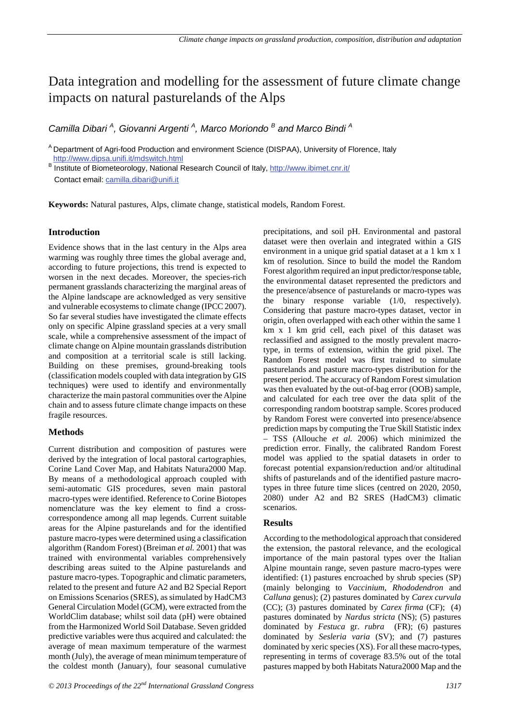## Data integration and modelling for the assessment of future climate change impacts on natural pasturelands of the Alps

*Camilla Dibari <sup>A</sup> , Giovanni Argenti <sup>A</sup> , Marco Moriondo <sup>B</sup> and Marco Bindi <sup>A</sup>*

<sup>A</sup> Department of Agri-food Production and environment Science (DISPAA), University of Florence, Italy http://www.dipsa.unifi.it/mdswitch.html

<sup>B</sup> Institute of Biometeorology, National Research Council of Italy, http://www.ibimet.cnr.it/ Contact email: camilla.dibari@unifi.it

**Keywords:** Natural pastures, Alps, climate change, statistical models, Random Forest.

#### **Introduction**

Evidence shows that in the last century in the Alps area warming was roughly three times the global average and, according to future projections, this trend is expected to worsen in the next decades. Moreover, the species-rich permanent grasslands characterizing the marginal areas of the Alpine landscape are acknowledged as very sensitive and vulnerable ecosystems to climate change (IPCC 2007). So far several studies have investigated the climate effects only on specific Alpine grassland species at a very small scale, while a comprehensive assessment of the impact of climate change on Alpine mountain grasslands distribution and composition at a territorial scale is still lacking. Building on these premises, ground-breaking tools (classification models coupled with data integration by GIS techniques) were used to identify and environmentally characterize the main pastoral communities over the Alpine chain and to assess future climate change impacts on these fragile resources.

#### **Methods**

Current distribution and composition of pastures were derived by the integration of local pastoral cartographies, Corine Land Cover Map, and Habitats Natura2000 Map. By means of a methodological approach coupled with semi-automatic GIS procedures, seven main pastoral macro-types were identified. Reference to Corine Biotopes nomenclature was the key element to find a crosscorrespondence among all map legends. Current suitable areas for the Alpine pasturelands and for the identified pasture macro-types were determined using a classification algorithm (Random Forest) (Breiman *et al.* 2001) that was trained with environmental variables comprehensively describing areas suited to the Alpine pasturelands and pasture macro-types. Topographic and climatic parameters, related to the present and future A2 and B2 Special Report on Emissions Scenarios (SRES), as simulated by HadCM3 General Circulation Model (GCM), were extracted from the WorldClim database; whilst soil data (pH) were obtained from the Harmonized World Soil Database. Seven gridded predictive variables were thus acquired and calculated: the average of mean maximum temperature of the warmest month (July), the average of mean minimum temperature of the coldest month (January), four seasonal cumulative

precipitations, and soil pH. Environmental and pastoral dataset were then overlain and integrated within a GIS environment in a unique grid spatial dataset at a 1 km x 1 km of resolution. Since to build the model the Random Forest algorithm required an input predictor/response table, the environmental dataset represented the predictors and the presence/absence of pasturelands or macro-types was the binary response variable (1/0, respectively). Considering that pasture macro-types dataset, vector in origin, often overlapped with each other within the same 1 km x 1 km grid cell, each pixel of this dataset was reclassified and assigned to the mostly prevalent macrotype, in terms of extension, within the grid pixel. The Random Forest model was first trained to simulate pasturelands and pasture macro-types distribution for the present period. The accuracy of Random Forest simulation was then evaluated by the out-of-bag error (OOB) sample, and calculated for each tree over the data split of the corresponding random bootstrap sample. Scores produced by Random Forest were converted into presence/absence prediction maps by computing the True Skill Statistic index – TSS (Allouche *et al.* 2006) which minimized the prediction error. Finally, the calibrated Random Forest model was applied to the spatial datasets in order to forecast potential expansion/reduction and/or altitudinal shifts of pasturelands and of the identified pasture macrotypes in three future time slices (centred on 2020, 2050, 2080) under A2 and B2 SRES (HadCM3) climatic scenarios.

#### **Results**

According to the methodological approach that considered the extension, the pastoral relevance, and the ecological importance of the main pastoral types over the Italian Alpine mountain range, seven pasture macro-types were identified: (1) pastures encroached by shrub species (SP) (mainly belonging to *Vaccinium*, *Rhododendron* and *Calluna* genus); (2) pastures dominated by *Carex curvula* (CC); (3) pastures dominated by *Carex firma* (CF); (4) pastures dominated by *Nardus stricta* (NS); (5) pastures dominated by *Festuca* gr. *rubra* (FR); (6) pastures dominated by *Sesleria varia* (SV); and (7) pastures dominated by xeric species (XS). For all these macro-types, representing in terms of coverage 83.5% out of the total pastures mapped by both Habitats Natura2000 Map and the